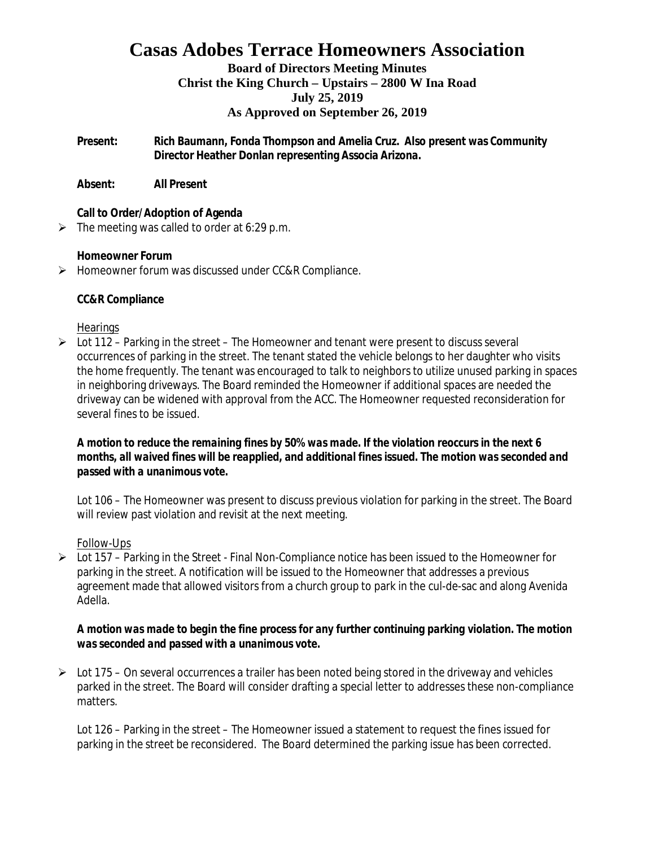## **Casas Adobes Terrace Homeowners Association**

#### **Board of Directors Meeting Minutes Christ the King Church – Upstairs – 2800 W Ina Road July 25, 2019 As Approved on September 26, 2019**

**Present: Rich Baumann, Fonda Thompson and Amelia Cruz. Also present was Community Director Heather Donlan representing Associa Arizona.**

**Absent: All Present**

**Call to Order/Adoption of Agenda**

 $\triangleright$  The meeting was called to order at 6:29 p.m.

**Homeowner Forum**

Ø Homeowner forum was discussed under CC&R Compliance.

**CC&R Compliance**

#### **Hearings**

 $\triangleright$  Lot 112 – Parking in the street – The Homeowner and tenant were present to discuss several occurrences of parking in the street. The tenant stated the vehicle belongs to her daughter who visits the home frequently. The tenant was encouraged to talk to neighbors to utilize unused parking in spaces in neighboring driveways. The Board reminded the Homeowner if additional spaces are needed the driveway can be widened with approval from the ACC. The Homeowner requested reconsideration for several fines to be issued.

*A motion to reduce the remaining fines by 50% was made. If the violation reoccurs in the next 6 months, all waived fines will be reapplied, and additional fines issued. The motion was seconded and passed with a unanimous vote.*

Lot 106 – The Homeowner was present to discuss previous violation for parking in the street. The Board will review past violation and revisit at the next meeting.

### Follow-Ups

 $\triangleright$  Lot 157 – Parking in the Street - Final Non-Compliance notice has been issued to the Homeowner for parking in the street. A notification will be issued to the Homeowner that addresses a previous agreement made that allowed visitors from a church group to park in the cul-de-sac and along Avenida Adella.

*A motion was made to begin the fine process for any further continuing parking violation. The motion was seconded and passed with a unanimous vote.*

 $\triangleright$  Lot 175 – On several occurrences a trailer has been noted being stored in the driveway and vehicles parked in the street. The Board will consider drafting a special letter to addresses these non-compliance matters.

Lot 126 – Parking in the street – The Homeowner issued a statement to request the fines issued for parking in the street be reconsidered. The Board determined the parking issue has been corrected.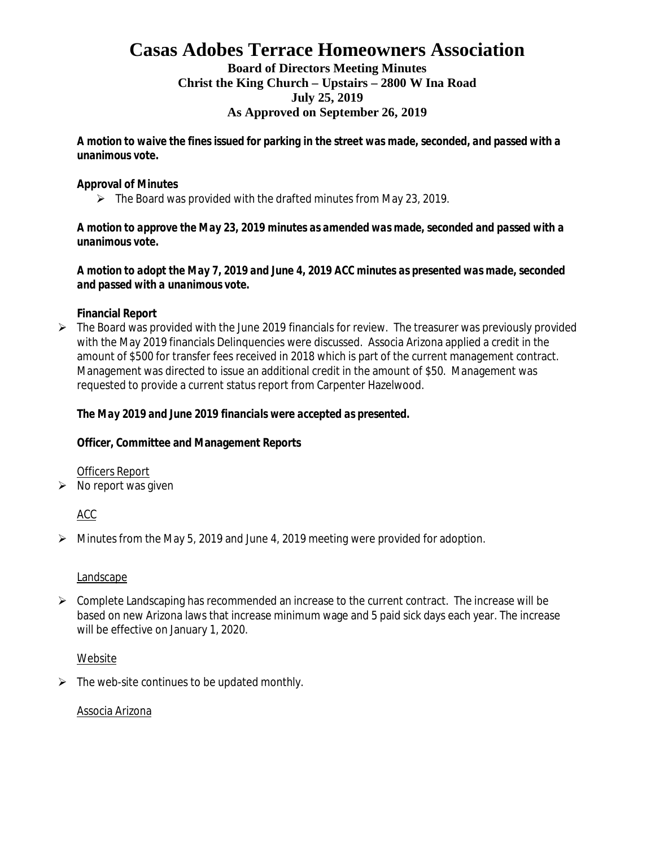# **Casas Adobes Terrace Homeowners Association**

#### **Board of Directors Meeting Minutes Christ the King Church – Upstairs – 2800 W Ina Road July 25, 2019 As Approved on September 26, 2019**

*A motion to waive the fines issued for parking in the street was made, seconded, and passed with a unanimous vote.*

#### **Approval of Minutes**

 $\triangleright$  The Board was provided with the drafted minutes from May 23, 2019.

*A motion to approve the May 23, 2019 minutes as amended was made, seconded and passed with a unanimous vote.*

*A motion to adopt the May 7, 2019 and June 4, 2019 ACC minutes as presented was made, seconded and passed with a unanimous vote.*

**Financial Report**

 $\triangleright$  The Board was provided with the June 2019 financials for review. The treasurer was previously provided with the May 2019 financials Delinquencies were discussed. Associa Arizona applied a credit in the amount of \$500 for transfer fees received in 2018 which is part of the current management contract. Management was directed to issue an additional credit in the amount of \$50. Management was requested to provide a current status report from Carpenter Hazelwood.

*The May 2019 and June 2019 financials were accepted as presented.*

**Officer, Committee and Management Reports**

Officers Report

 $\triangleright$  No report was given

ACC

 $\triangleright$  Minutes from the May 5, 2019 and June 4, 2019 meeting were provided for adoption.

#### Landscape

 $\triangleright$  Complete Landscaping has recommended an increase to the current contract. The increase will be based on new Arizona laws that increase minimum wage and 5 paid sick days each year. The increase will be effective on January 1, 2020.

#### Website

 $\triangleright$  The web-site continues to be updated monthly.

#### Associa Arizona